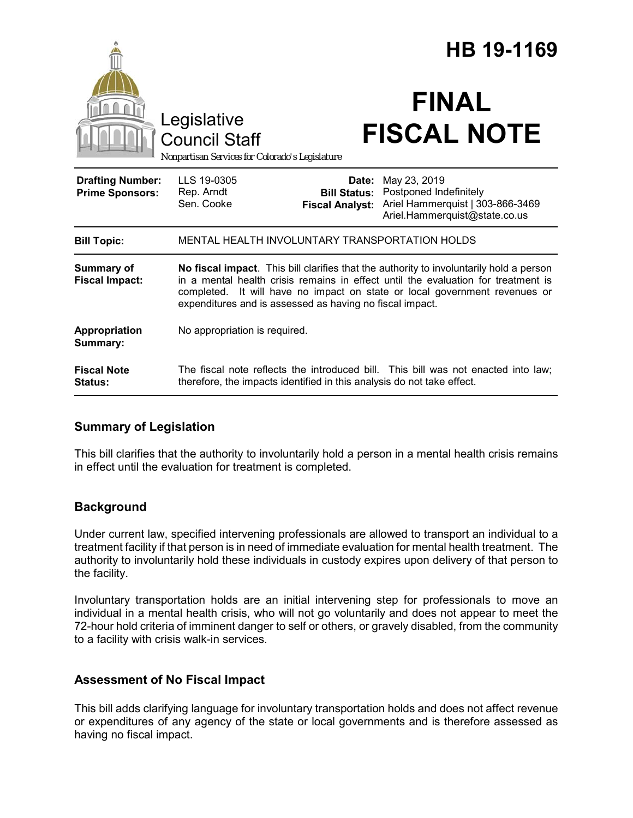|                                                   |                                                                                                                                                                                                                                                                                                                        | HB 19-1169                                             |                                                                                                             |
|---------------------------------------------------|------------------------------------------------------------------------------------------------------------------------------------------------------------------------------------------------------------------------------------------------------------------------------------------------------------------------|--------------------------------------------------------|-------------------------------------------------------------------------------------------------------------|
|                                                   | Legislative<br><b>Council Staff</b><br>Nonpartisan Services for Colorado's Legislature                                                                                                                                                                                                                                 |                                                        | <b>FINAL</b><br><b>FISCAL NOTE</b>                                                                          |
| <b>Drafting Number:</b><br><b>Prime Sponsors:</b> | LLS 19-0305<br>Rep. Arndt<br>Sen. Cooke                                                                                                                                                                                                                                                                                | Date:<br><b>Bill Status:</b><br><b>Fiscal Analyst:</b> | May 23, 2019<br>Postponed Indefinitely<br>Ariel Hammerquist   303-866-3469<br>Ariel.Hammerquist@state.co.us |
| <b>Bill Topic:</b>                                | MENTAL HEALTH INVOLUNTARY TRANSPORTATION HOLDS                                                                                                                                                                                                                                                                         |                                                        |                                                                                                             |
| Summary of<br><b>Fiscal Impact:</b>               | No fiscal impact. This bill clarifies that the authority to involuntarily hold a person<br>in a mental health crisis remains in effect until the evaluation for treatment is<br>completed. It will have no impact on state or local government revenues or<br>expenditures and is assessed as having no fiscal impact. |                                                        |                                                                                                             |
| Appropriation<br>Summary:                         | No appropriation is required.                                                                                                                                                                                                                                                                                          |                                                        |                                                                                                             |
| <b>Fiscal Note</b><br>Status:                     | The fiscal note reflects the introduced bill. This bill was not enacted into law;<br>therefore, the impacts identified in this analysis do not take effect.                                                                                                                                                            |                                                        |                                                                                                             |

#### **Summary of Legislation**

This bill clarifies that the authority to involuntarily hold a person in a mental health crisis remains in effect until the evaluation for treatment is completed.

## **Background**

Under current law, specified intervening professionals are allowed to transport an individual to a treatment facility if that person is in need of immediate evaluation for mental health treatment. The authority to involuntarily hold these individuals in custody expires upon delivery of that person to the facility.

Involuntary transportation holds are an initial intervening step for professionals to move an individual in a mental health crisis, who will not go voluntarily and does not appear to meet the 72-hour hold criteria of imminent danger to self or others, or gravely disabled, from the community to a facility with crisis walk-in services.

## **Assessment of No Fiscal Impact**

This bill adds clarifying language for involuntary transportation holds and does not affect revenue or expenditures of any agency of the state or local governments and is therefore assessed as having no fiscal impact.